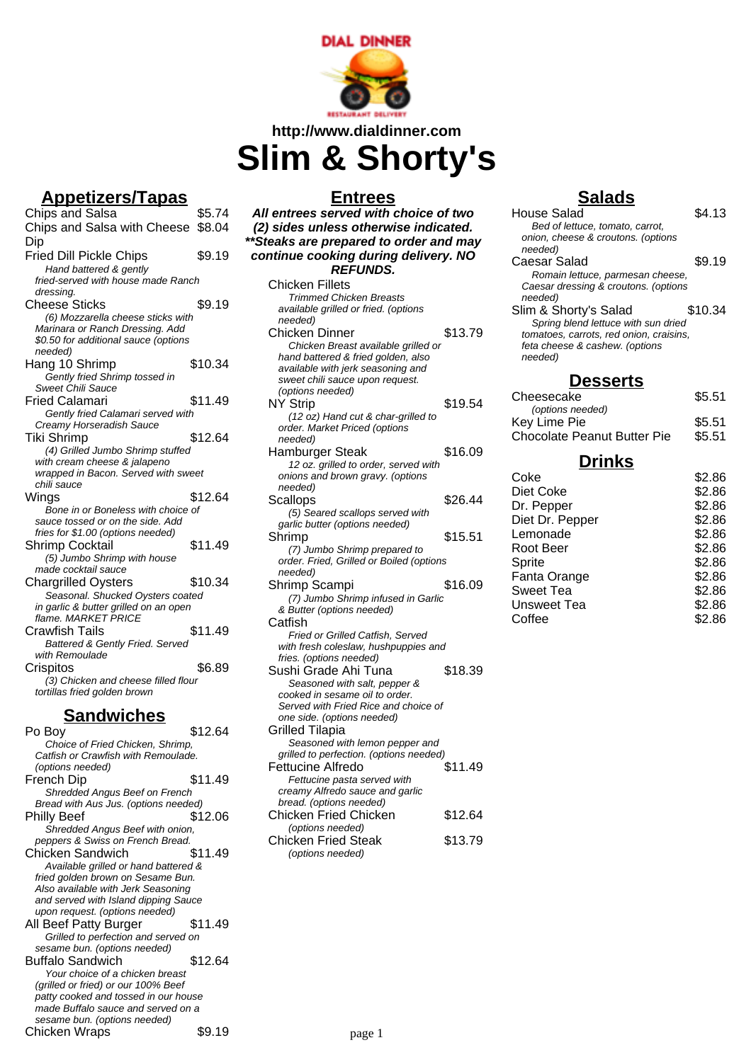

# **http://www.dialdinner.com Slim & Shorty's**

## **Appetizers/Tapas**

Chips and Salsa \$5.74 Chips and Salsa with Cheese \$8.04 Dip Fried Dill Pickle Chips \$9.19 Hand battered & gently fried-served with house made Ranch dressing. Cheese Sticks \$9.19 (6) Mozzarella cheese sticks with Marinara or Ranch Dressing. Add \$0.50 for additional sauce (options needed) Hang 10 Shrimp \$10.34 Gently fried Shrimp tossed in Sweet Chili Sauce Fried Calamari **\$11.49** Gently fried Calamari served with Creamy Horseradish Sauce Tiki Shrimp \$12.64 (4) Grilled Jumbo Shrimp stuffed with cream cheese & jalapeno wrapped in Bacon. Served with sweet chili sauce Wings \$12.64 Bone in or Boneless with choice of sauce tossed or on the side. Add fries for \$1.00 (options needed) Shrimp Cocktail \$11.49 (5) Jumbo Shrimp with house made cocktail sauce Chargrilled Oysters \$10.34 Seasonal. Shucked Oysters coated in garlic & butter grilled on an open flame. MARKET PRICE Crawfish Tails **\$11.49** Battered & Gently Fried. Served with Remoulade Crispitos \$6.89 (3) Chicken and cheese filled flour tortillas fried golden brown

### **Sandwiches**

| Po Boy                               | \$12.64 |
|--------------------------------------|---------|
| Choice of Fried Chicken, Shrimp,     |         |
| Catfish or Crawfish with Remoulade.  |         |
| (options needed)                     |         |
| French Dip                           | \$11.49 |
| Shredded Angus Beef on French        |         |
| Bread with Aus Jus. (options needed) |         |
| <b>Philly Beef</b>                   | \$12.06 |
| Shredded Angus Beef with onion,      |         |
| peppers & Swiss on French Bread.     |         |
| Chicken Sandwich                     | \$11.49 |
| Available grilled or hand battered & |         |
| fried golden brown on Sesame Bun.    |         |
| Also available with Jerk Seasoning   |         |
| and served with Island dipping Sauce |         |
| upon request. (options needed)       |         |
| All Beef Patty Burger                | \$11.49 |
| Grilled to perfection and served on  |         |
| sesame bun. (options needed)         |         |
| <b>Buffalo Sandwich</b>              | \$12.64 |
| Your choice of a chicken breast      |         |
| (grilled or fried) or our 100% Beef  |         |
| patty cooked and tossed in our house |         |
| made Buffalo sauce and served on a   |         |
| sesame bun. (options needed)         |         |
| Chicken Wraps                        | \$9.19  |

## **Entrees**

**All entrees served with choice of two (2) sides unless otherwise indicated. \*\*Steaks are prepared to order and may continue cooking during delivery. NO REFUNDS.** Chicken Fillets Trimmed Chicken Breasts available grilled or fried. (options needed) Chicken Dinner \$13.79 Chicken Breast available grilled or hand battered & fried golden, also available with jerk seasoning and sweet chili sauce upon request. (options needed) NY Strip \$19.54 (12 oz) Hand cut & char-grilled to order. Market Priced (options needed) Hamburger Steak \$16.09 12 oz. grilled to order, served with onions and brown gravy. (options needed) Scallops \$26.44 (5) Seared scallops served with garlic butter (options needed) Shrimp \$15.51 (7) Jumbo Shrimp prepared to order. Fried, Grilled or Boiled (options needed) Shrimp Scampi \$16.09 (7) Jumbo Shrimp infused in Garlic & Butter (options needed)

**Catfish** Fried or Grilled Catfish, Served with fresh coleslaw, hushpuppies and fries. (options needed) Sushi Grade Ahi Tuna \$18.39 Seasoned with salt, pepper &

| ocasonca <i>mar</i> san, poppor a       |         |
|-----------------------------------------|---------|
| cooked in sesame oil to order.          |         |
| Served with Fried Rice and choice of    |         |
| one side. (options needed)              |         |
| Grilled Tilapia                         |         |
| Seasoned with lemon pepper and          |         |
| grilled to perfection. (options needed) |         |
| Fettucine Alfredo                       | \$11.49 |
| Fettucine pasta served with             |         |
| creamy Alfredo sauce and garlic         |         |
| bread. (options needed)                 |         |
| Chicken Fried Chicken                   | \$12.64 |
| (options needed)                        |         |
|                                         |         |

#### Chicken Fried Steak \$13.79 (options needed)

## **Salads**

| House Salad                             | \$4.13  |
|-----------------------------------------|---------|
| Bed of lettuce, tomato, carrot,         |         |
| onion, cheese & croutons. (options      |         |
| needed)                                 |         |
| Caesar Salad                            | \$9.19  |
| Romain lettuce, parmesan cheese,        |         |
| Caesar dressing & croutons. (options    |         |
| needed)                                 |         |
| Slim & Shorty's Salad                   | \$10.34 |
| Spring blend lettuce with sun dried     |         |
| tomatoes, carrots, red onion, craisins, |         |
| feta cheese & cashew. (options          |         |
| needed)                                 |         |
| Desserts                                |         |
|                                         |         |
| Cheesecake                              | \$5.51  |
| (options needed)                        |         |

| (Uptions riceded)                  |        |
|------------------------------------|--------|
| Key Lime Pie                       | \$5.51 |
| <b>Chocolate Peanut Butter Pie</b> | \$5.51 |
|                                    |        |

#### **Drinks**

| Coke            | \$2.86 |
|-----------------|--------|
| Diet Coke       | \$2.86 |
| Dr. Pepper      | \$2.86 |
| Diet Dr. Pepper | \$2.86 |
| Lemonade        | \$2.86 |
| Root Beer       | \$2.86 |
| Sprite          | \$2.86 |
| Fanta Orange    | \$2.86 |
| Sweet Tea       | \$2.86 |
| Unsweet Tea     | \$2.86 |
| Coffee          | \$2.86 |
|                 |        |